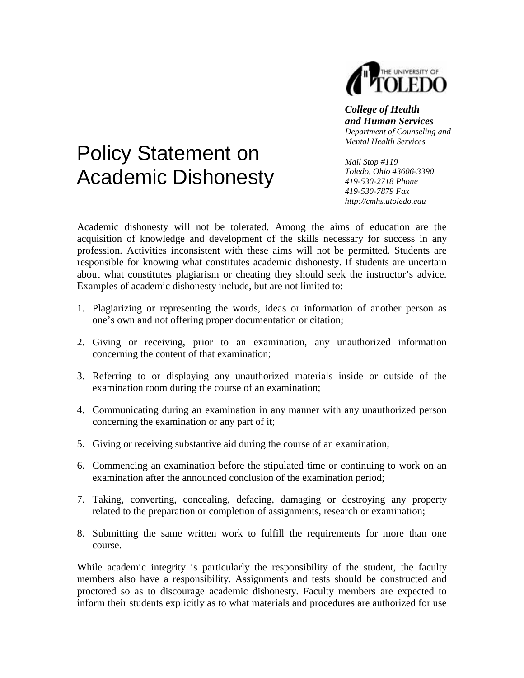

## *College of Health and Human Services Department of Counseling and Mental Health Services*

## Policy Statement on Academic Dishonesty

*Mail Stop #119 Toledo, Ohio 43606-3390 419-530-2718 Phone 419-530-7879 Fax http://cmhs.utoledo.edu* 

Academic dishonesty will not be tolerated. Among the aims of education are the acquisition of knowledge and development of the skills necessary for success in any profession. Activities inconsistent with these aims will not be permitted. Students are responsible for knowing what constitutes academic dishonesty. If students are uncertain about what constitutes plagiarism or cheating they should seek the instructor's advice. Examples of academic dishonesty include, but are not limited to:

- 1. Plagiarizing or representing the words, ideas or information of another person as one's own and not offering proper documentation or citation;
- 2. Giving or receiving, prior to an examination, any unauthorized information concerning the content of that examination;
- 3. Referring to or displaying any unauthorized materials inside or outside of the examination room during the course of an examination;
- 4. Communicating during an examination in any manner with any unauthorized person concerning the examination or any part of it;
- 5. Giving or receiving substantive aid during the course of an examination;
- 6. Commencing an examination before the stipulated time or continuing to work on an examination after the announced conclusion of the examination period;
- 7. Taking, converting, concealing, defacing, damaging or destroying any property related to the preparation or completion of assignments, research or examination;
- 8. Submitting the same written work to fulfill the requirements for more than one course.

While academic integrity is particularly the responsibility of the student, the faculty members also have a responsibility. Assignments and tests should be constructed and proctored so as to discourage academic dishonesty. Faculty members are expected to inform their students explicitly as to what materials and procedures are authorized for use